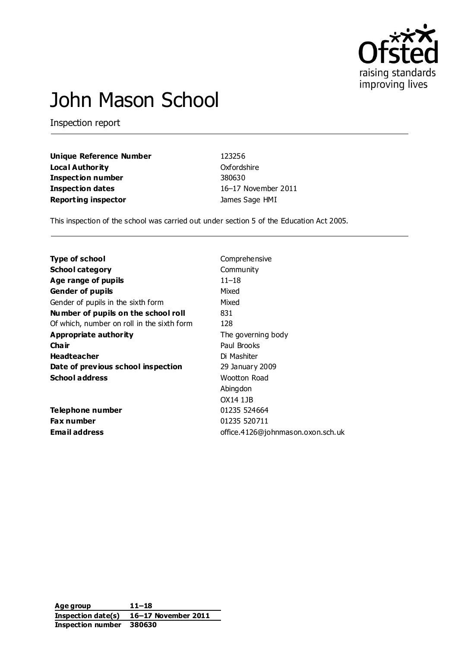

# John Mason School

Inspection report

| <b>Unique Reference Numb</b> |  |
|------------------------------|--|
| <b>Local Authority</b>       |  |
| <b>Inspection number</b>     |  |
| <b>Inspection dates</b>      |  |
| <b>Reporting inspector</b>   |  |

**u**er 123256 **Oxfordshire Inspection number** 380630 **Inspection dates** 16–17 November 2011 **James Sage HMI** 

This inspection of the school was carried out under section 5 of the Education Act 2005.

| <b>Type of school</b>                      | Comprehensive                     |
|--------------------------------------------|-----------------------------------|
| <b>School category</b>                     | Community                         |
| Age range of pupils                        | $11 - 18$                         |
| <b>Gender of pupils</b>                    | Mixed                             |
| Gender of pupils in the sixth form         | Mixed                             |
| Number of pupils on the school roll        | 831                               |
| Of which, number on roll in the sixth form | 128                               |
| Appropriate authority                      | The governing body                |
| Cha ir                                     | Paul Brooks                       |
| <b>Headteacher</b>                         | Di Mashiter                       |
| Date of previous school inspection         | 29 January 2009                   |
| <b>School address</b>                      | Wootton Road                      |
|                                            | Abingdon                          |
|                                            | OX14 1JB                          |
| Telephone number                           | 01235 524664                      |
| <b>Fax number</b>                          | 01235 520711                      |
| Email address                              | office.4126@johnmason.oxon.sch.uk |
|                                            |                                   |

**Age group 11–18 Inspection date(s) 16–17 November 2011 Inspection number 380630**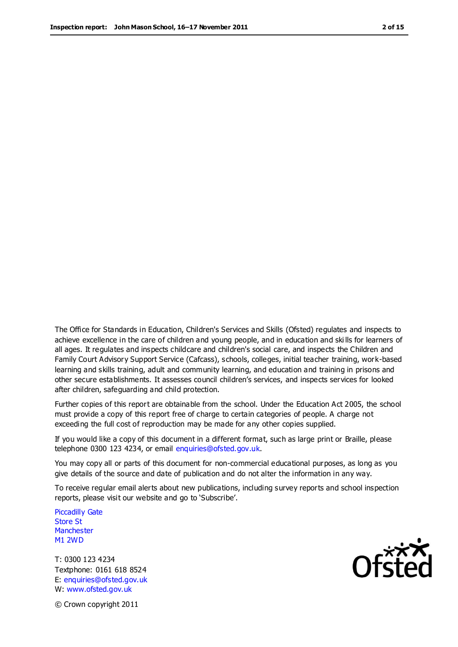The Office for Standards in Education, Children's Services and Skills (Ofsted) regulates and inspects to achieve excellence in the care of children and young people, and in education and ski lls for learners of all ages. It regulates and inspects childcare and children's social care, and inspects the Children and Family Court Advisory Support Service (Cafcass), schools, colleges, initial teacher training, work-based learning and skills training, adult and community learning, and education and training in prisons and other secure establishments. It assesses council children's services, and inspects services for looked after children, safeguarding and child protection.

Further copies of this report are obtainable from the school. Under the Education Act 2005, the school must provide a copy of this report free of charge to certain categories of people. A charge not exceeding the full cost of reproduction may be made for any other copies supplied.

If you would like a copy of this document in a different format, such as large print or Braille, please telephone 0300 123 4234, or email enquiries@ofsted.gov.uk.

You may copy all or parts of this document for non-commercial educational purposes, as long as you give details of the source and date of publication and do not alter the information in any way.

To receive regular email alerts about new publications, including survey reports and school inspection reports, please visit our website and go to 'Subscribe'.

Piccadilly Gate Store St **Manchester** M1 2WD

T: 0300 123 4234 Textphone: 0161 618 8524 E: enquiries@ofsted.gov.uk W: www.ofsted.gov.uk

**Ofsted** 

© Crown copyright 2011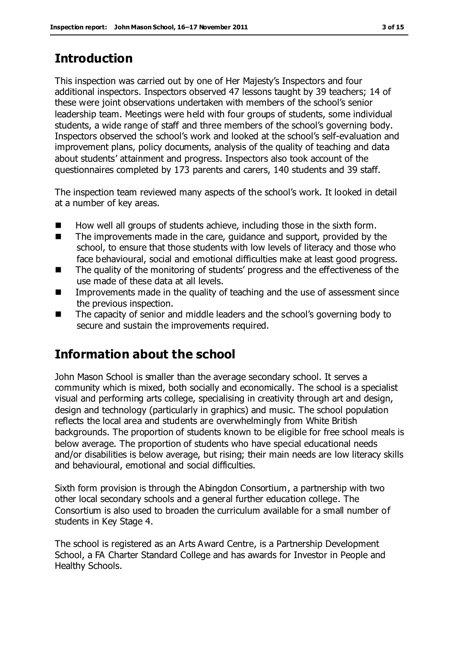# **Introduction**

This inspection was carried out by one of Her Majesty's Inspectors and four additional inspectors. Inspectors observed 47 lessons taught by 39 teachers; 14 of these were joint observations undertaken with members of the school's senior leadership team. Meetings were held with four groups of students, some individual students, a wide range of staff and three members of the school's governing body. Inspectors observed the school's work and looked at the school's self-evaluation and improvement plans, policy documents, analysis of the quality of teaching and data about students' attainment and progress. Inspectors also took account of the questionnaires completed by 173 parents and carers, 140 students and 39 staff.

The inspection team reviewed many aspects of the school's work. It looked in detail at a number of key areas.

- $\blacksquare$  How well all groups of students achieve, including those in the sixth form.
- The improvements made in the care, quidance and support, provided by the school, to ensure that those students with low levels of literacy and those who face behavioural, social and emotional difficulties make at least good progress.
- The quality of the monitoring of students' progress and the effectiveness of the use made of these data at all levels.
- Improvements made in the quality of teaching and the use of assessment since the previous inspection.
- The capacity of senior and middle leaders and the school's governing body to secure and sustain the improvements required.

# **Information about the school**

John Mason School is smaller than the average secondary school. It serves a community which is mixed, both socially and economically. The school is a specialist visual and performing arts college, specialising in creativity through art and design, design and technology (particularly in graphics) and music. The school population reflects the local area and students are overwhelmingly from White British backgrounds. The proportion of students known to be eligible for free school meals is below average. The proportion of students who have special educational needs and/or disabilities is below average, but rising; their main needs are low literacy skills and behavioural, emotional and social difficulties.

Sixth form provision is through the Abingdon Consortium, a partnership with two other local secondary schools and a general further education college. The Consortium is also used to broaden the curriculum available for a small number of students in Key Stage 4.

The school is registered as an Arts Award Centre, is a Partnership Development School, a FA Charter Standard College and has awards for Investor in People and Healthy Schools.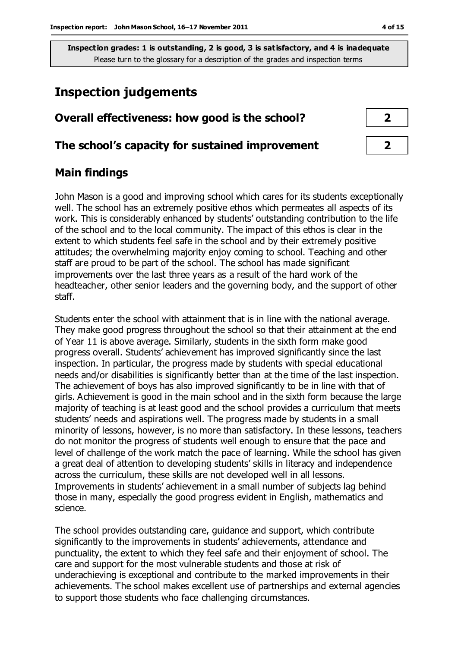## **Inspection judgements**

| Overall effectiveness: how good is the school?  |  |
|-------------------------------------------------|--|
| The school's capacity for sustained improvement |  |

## **Main findings**

John Mason is a good and improving school which cares for its students exceptionally well. The school has an extremely positive ethos which permeates all aspects of its work. This is considerably enhanced by students' outstanding contribution to the life of the school and to the local community. The impact of this ethos is clear in the extent to which students feel safe in the school and by their extremely positive attitudes; the overwhelming majority enjoy coming to school. Teaching and other staff are proud to be part of the school. The school has made significant improvements over the last three years as a result of the hard work of the headteacher, other senior leaders and the governing body, and the support of other staff.

Students enter the school with attainment that is in line with the national average. They make good progress throughout the school so that their attainment at the end of Year 11 is above average. Similarly, students in the sixth form make good progress overall. Students' achievement has improved significantly since the last inspection. In particular, the progress made by students with special educational needs and/or disabilities is significantly better than at the time of the last inspection. The achievement of boys has also improved significantly to be in line with that of girls. Achievement is good in the main school and in the sixth form because the large majority of teaching is at least good and the school provides a curriculum that meets students' needs and aspirations well. The progress made by students in a small minority of lessons, however, is no more than satisfactory. In these lessons, teachers do not monitor the progress of students well enough to ensure that the pace and level of challenge of the work match the pace of learning. While the school has given a great deal of attention to developing students' skills in literacy and independence across the curriculum, these skills are not developed well in all lessons. Improvements in students' achievement in a small number of subjects lag behind those in many, especially the good progress evident in English, mathematics and science.

The school provides outstanding care, guidance and support, which contribute significantly to the improvements in students' achievements, attendance and punctuality, the extent to which they feel safe and their enjoyment of school. The care and support for the most vulnerable students and those at risk of underachieving is exceptional and contribute to the marked improvements in their achievements. The school makes excellent use of partnerships and external agencies to support those students who face challenging circumstances.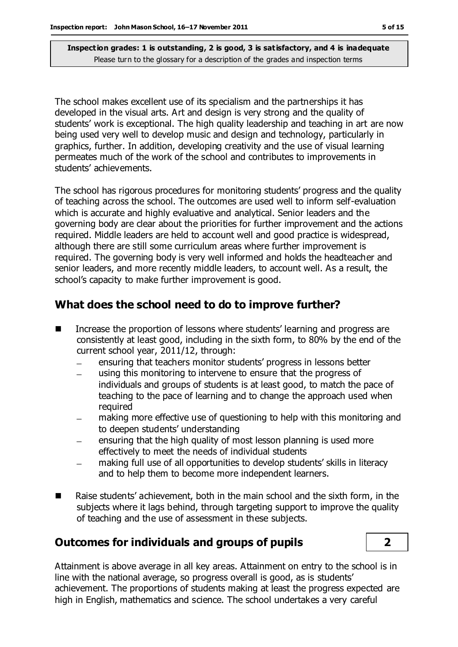The school makes excellent use of its specialism and the partnerships it has developed in the visual arts. Art and design is very strong and the quality of students' work is exceptional. The high quality leadership and teaching in art are now being used very well to develop music and design and technology, particularly in graphics, further. In addition, developing creativity and the use of visual learning permeates much of the work of the school and contributes to improvements in students' achievements.

The school has rigorous procedures for monitoring students' progress and the quality of teaching across the school. The outcomes are used well to inform self-evaluation which is accurate and highly evaluative and analytical. Senior leaders and the governing body are clear about the priorities for further improvement and the actions required. Middle leaders are held to account well and good practice is widespread, although there are still some curriculum areas where further improvement is required. The governing body is very well informed and holds the headteacher and senior leaders, and more recently middle leaders, to account well. As a result, the school's capacity to make further improvement is good.

#### **What does the school need to do to improve further?**

- Increase the proportion of lessons where students' learning and progress are consistently at least good, including in the sixth form, to 80% by the end of the current school year, 2011/12, through:
	- ensuring that teachers monitor students' progress in lessons better
	- using this monitoring to intervene to ensure that the progress of  $\overline{\phantom{a}}$ individuals and groups of students is at least good, to match the pace of teaching to the pace of learning and to change the approach used when required
	- making more effective use of questioning to help with this monitoring and to deepen students' understanding
	- ensuring that the high quality of most lesson planning is used more effectively to meet the needs of individual students
	- making full use of all opportunities to develop students' skills in literacy and to help them to become more independent learners.
- Raise students' achievement, both in the main school and the sixth form, in the subjects where it lags behind, through targeting support to improve the quality of teaching and the use of assessment in these subjects.

#### **Outcomes for individuals and groups of pupils 2**

Attainment is above average in all key areas. Attainment on entry to the school is in line with the national average, so progress overall is good, as is students' achievement. The proportions of students making at least the progress expected are high in English, mathematics and science. The school undertakes a very careful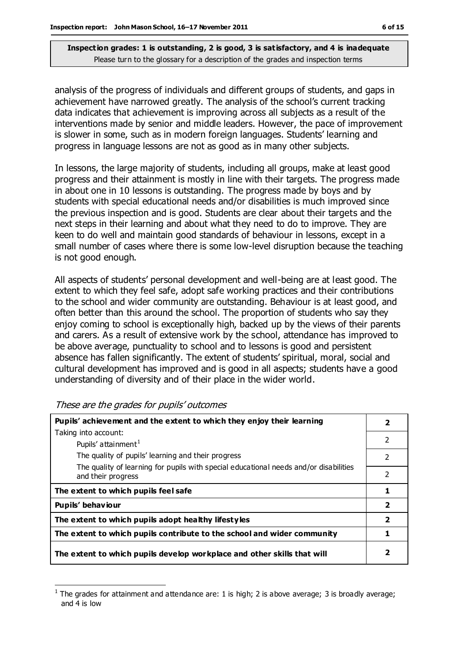analysis of the progress of individuals and different groups of students, and gaps in achievement have narrowed greatly. The analysis of the school's current tracking data indicates that achievement is improving across all subjects as a result of the interventions made by senior and middle leaders. However, the pace of improvement is slower in some, such as in modern foreign languages. Students' learning and progress in language lessons are not as good as in many other subjects.

In lessons, the large majority of students, including all groups, make at least good progress and their attainment is mostly in line with their targets. The progress made in about one in 10 lessons is outstanding. The progress made by boys and by students with special educational needs and/or disabilities is much improved since the previous inspection and is good. Students are clear about their targets and the next steps in their learning and about what they need to do to improve. They are keen to do well and maintain good standards of behaviour in lessons, except in a small number of cases where there is some low-level disruption because the teaching is not good enough.

All aspects of students' personal development and well-being are at least good. The extent to which they feel safe, adopt safe working practices and their contributions to the school and wider community are outstanding. Behaviour is at least good, and often better than this around the school. The proportion of students who say they enjoy coming to school is exceptionally high, backed up by the views of their parents and carers. As a result of extensive work by the school, attendance has improved to be above average, punctuality to school and to lessons is good and persistent absence has fallen significantly. The extent of students' spiritual, moral, social and cultural development has improved and is good in all aspects; students have a good understanding of diversity and of their place in the wider world.

**Pupils' achievement and the extent to which they enjoy their learning** Taking into account: Pupils' attainment $<sup>1</sup>$ </sup> The quality of pupils' learning and their progress The quality of learning for pupils with special educational needs and/or disabilities and their progress **2** 2 2 2 The extent to which pupils feel safe **1 1 Pupils' behaviour 2 The extent to which pupils adopt healthy lifestyles 2 The extent to which pupils contribute to the school and wider community 1 The extent to which pupils develop workplace and other skills that will 2**

These are the grades for pupils' outcomes

 $\overline{a}$ 

<sup>1</sup> The grades for attainment and attendance are: 1 is high; 2 is above average; 3 is broadly average; and 4 is low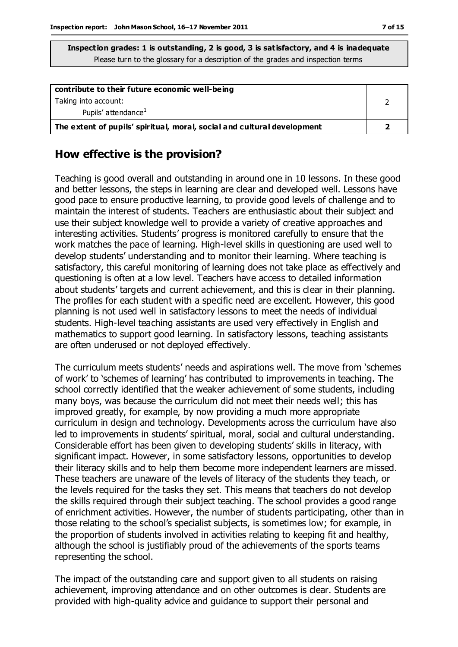| contribute to their future economic well-being                          |  |
|-------------------------------------------------------------------------|--|
| Taking into account:                                                    |  |
| Pupils' attendance <sup>1</sup>                                         |  |
| The extent of pupils' spiritual, moral, social and cultural development |  |

#### **How effective is the provision?**

Teaching is good overall and outstanding in around one in 10 lessons. In these good and better lessons, the steps in learning are clear and developed well. Lessons have good pace to ensure productive learning, to provide good levels of challenge and to maintain the interest of students. Teachers are enthusiastic about their subject and use their subject knowledge well to provide a variety of creative approaches and interesting activities. Students' progress is monitored carefully to ensure that the work matches the pace of learning. High-level skills in questioning are used well to develop students' understanding and to monitor their learning. Where teaching is satisfactory, this careful monitoring of learning does not take place as effectively and questioning is often at a low level. Teachers have access to detailed information about students' targets and current achievement, and this is clear in their planning. The profiles for each student with a specific need are excellent. However, this good planning is not used well in satisfactory lessons to meet the needs of individual students. High-level teaching assistants are used very effectively in English and mathematics to support good learning. In satisfactory lessons, teaching assistants are often underused or not deployed effectively.

The curriculum meets students' needs and aspirations well. The move from 'schemes of work' to 'schemes of learning' has contributed to improvements in teaching. The school correctly identified that the weaker achievement of some students, including many boys, was because the curriculum did not meet their needs well; this has improved greatly, for example, by now providing a much more appropriate curriculum in design and technology. Developments across the curriculum have also led to improvements in students' spiritual, moral, social and cultural understanding. Considerable effort has been given to developing students' skills in literacy, with significant impact. However, in some satisfactory lessons, opportunities to develop their literacy skills and to help them become more independent learners are missed. These teachers are unaware of the levels of literacy of the students they teach, or the levels required for the tasks they set. This means that teachers do not develop the skills required through their subject teaching. The school provides a good range of enrichment activities. However, the number of students participating, other than in those relating to the school's specialist subjects, is sometimes low; for example, in the proportion of students involved in activities relating to keeping fit and healthy, although the school is justifiably proud of the achievements of the sports teams representing the school.

The impact of the outstanding care and support given to all students on raising achievement, improving attendance and on other outcomes is clear. Students are provided with high-quality advice and guidance to support their personal and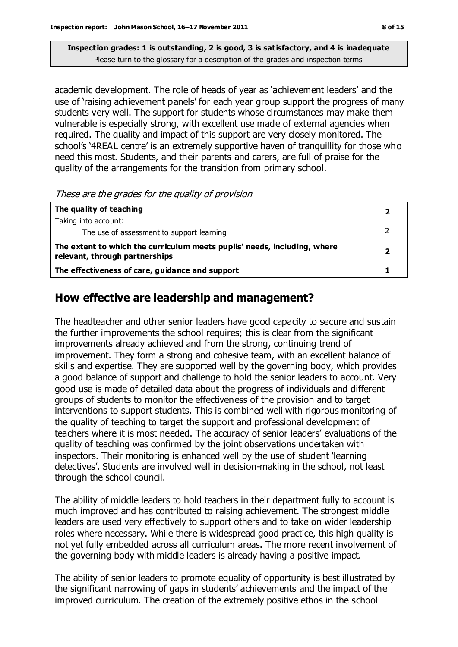academic development. The role of heads of year as 'achievement leaders' and the use of 'raising achievement panels' for each year group support the progress of many students very well. The support for students whose circumstances may make them vulnerable is especially strong, with excellent use made of external agencies when required. The quality and impact of this support are very closely monitored. The school's '4REAL centre' is an extremely supportive haven of tranquillity for those who need this most. Students, and their parents and carers, are full of praise for the quality of the arrangements for the transition from primary school.

These are the grades for the quality of provision

| The quality of teaching                                                                                    |   |
|------------------------------------------------------------------------------------------------------------|---|
| Taking into account:                                                                                       |   |
| The use of assessment to support learning                                                                  |   |
| The extent to which the curriculum meets pupils' needs, including, where<br>relevant, through partnerships | 2 |
| The effectiveness of care, guidance and support                                                            |   |

## **How effective are leadership and management?**

The headteacher and other senior leaders have good capacity to secure and sustain the further improvements the school requires; this is clear from the significant improvements already achieved and from the strong, continuing trend of improvement. They form a strong and cohesive team, with an excellent balance of skills and expertise. They are supported well by the governing body, which provides a good balance of support and challenge to hold the senior leaders to account. Very good use is made of detailed data about the progress of individuals and different groups of students to monitor the effectiveness of the provision and to target interventions to support students. This is combined well with rigorous monitoring of the quality of teaching to target the support and professional development of teachers where it is most needed. The accuracy of senior leaders' evaluations of the quality of teaching was confirmed by the joint observations undertaken with inspectors. Their monitoring is enhanced well by the use of student 'learning detectives'. Students are involved well in decision-making in the school, not least through the school council.

The ability of middle leaders to hold teachers in their department fully to account is much improved and has contributed to raising achievement. The strongest middle leaders are used very effectively to support others and to take on wider leadership roles where necessary. While there is widespread good practice, this high quality is not yet fully embedded across all curriculum areas. The more recent involvement of the governing body with middle leaders is already having a positive impact.

The ability of senior leaders to promote equality of opportunity is best illustrated by the significant narrowing of gaps in students' achievements and the impact of the improved curriculum. The creation of the extremely positive ethos in the school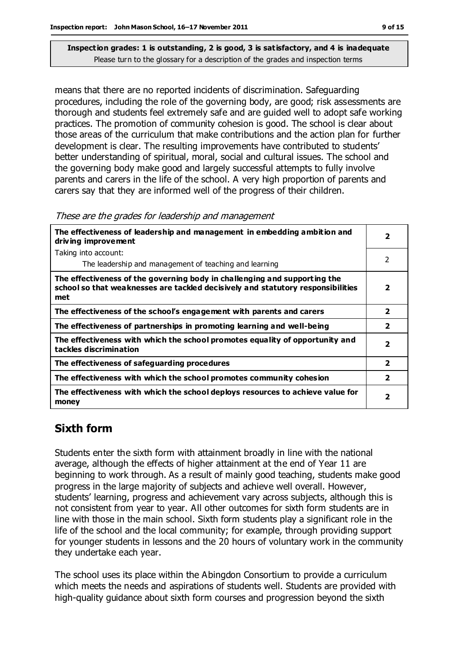means that there are no reported incidents of discrimination. Safeguarding procedures, including the role of the governing body, are good; risk assessments are thorough and students feel extremely safe and are guided well to adopt safe working practices. The promotion of community cohesion is good. The school is clear about those areas of the curriculum that make contributions and the action plan for further development is clear. The resulting improvements have contributed to students' better understanding of spiritual, moral, social and cultural issues. The school and the governing body make good and largely successful attempts to fully involve parents and carers in the life of the school. A very high proportion of parents and carers say that they are informed well of the progress of their children.

These are the grades for leadership and management

| The effectiveness of leadership and management in embedding ambition and<br>driving improvement                                                                     |                         |  |
|---------------------------------------------------------------------------------------------------------------------------------------------------------------------|-------------------------|--|
| Taking into account:                                                                                                                                                |                         |  |
| The leadership and management of teaching and learning                                                                                                              | $\mathcal{P}$           |  |
| The effectiveness of the governing body in challenging and supporting the<br>school so that weaknesses are tackled decisively and statutory responsibilities<br>met | 2                       |  |
| The effectiveness of the school's engagement with parents and carers                                                                                                | $\overline{\mathbf{2}}$ |  |
| The effectiveness of partnerships in promoting learning and well-being                                                                                              | $\overline{2}$          |  |
| The effectiveness with which the school promotes equality of opportunity and<br>tackles discrimination                                                              | $\overline{\mathbf{2}}$ |  |
| The effectiveness of safeguarding procedures                                                                                                                        | $\overline{\mathbf{2}}$ |  |
| The effectiveness with which the school promotes community cohesion                                                                                                 | $\overline{\mathbf{2}}$ |  |
| The effectiveness with which the school deploys resources to achieve value for<br>money                                                                             | 2                       |  |

## **Sixth form**

Students enter the sixth form with attainment broadly in line with the national average, although the effects of higher attainment at the end of Year 11 are beginning to work through. As a result of mainly good teaching, students make good progress in the large majority of subjects and achieve well overall. However, students' learning, progress and achievement vary across subjects, although this is not consistent from year to year. All other outcomes for sixth form students are in line with those in the main school. Sixth form students play a significant role in the life of the school and the local community; for example, through providing support for younger students in lessons and the 20 hours of voluntary work in the community they undertake each year.

The school uses its place within the Abingdon Consortium to provide a curriculum which meets the needs and aspirations of students well. Students are provided with high-quality guidance about sixth form courses and progression beyond the sixth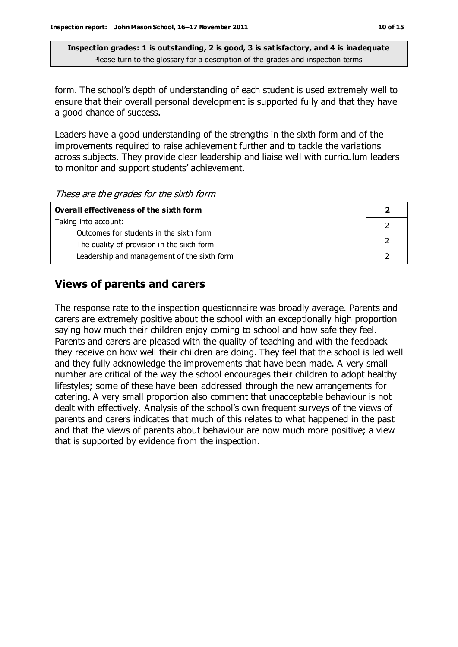form. The school's depth of understanding of each student is used extremely well to ensure that their overall personal development is supported fully and that they have a good chance of success.

Leaders have a good understanding of the strengths in the sixth form and of the improvements required to raise achievement further and to tackle the variations across subjects. They provide clear leadership and liaise well with curriculum leaders to monitor and support students' achievement.

These are the grades for the sixth form

| Overall effectiveness of the sixth form     |  |  |
|---------------------------------------------|--|--|
| Taking into account:                        |  |  |
| Outcomes for students in the sixth form     |  |  |
| The quality of provision in the sixth form  |  |  |
| Leadership and management of the sixth form |  |  |

#### **Views of parents and carers**

The response rate to the inspection questionnaire was broadly average. Parents and carers are extremely positive about the school with an exceptionally high proportion saying how much their children enjoy coming to school and how safe they feel. Parents and carers are pleased with the quality of teaching and with the feedback they receive on how well their children are doing. They feel that the school is led well and they fully acknowledge the improvements that have been made. A very small number are critical of the way the school encourages their children to adopt healthy lifestyles; some of these have been addressed through the new arrangements for catering. A very small proportion also comment that unacceptable behaviour is not dealt with effectively. Analysis of the school's own frequent surveys of the views of parents and carers indicates that much of this relates to what happened in the past and that the views of parents about behaviour are now much more positive; a view that is supported by evidence from the inspection.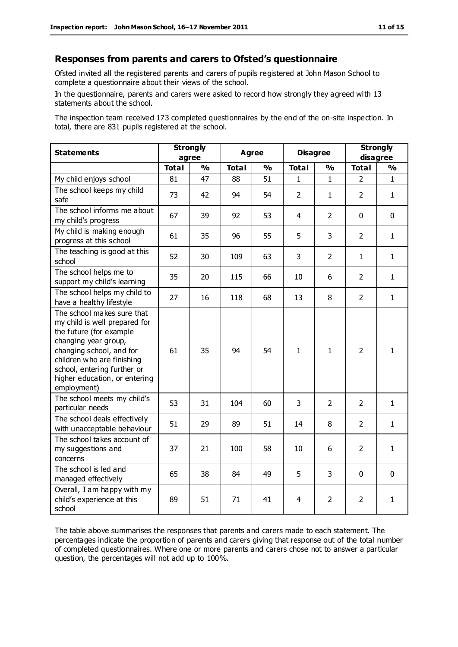#### **Responses from parents and carers to Ofsted's questionnaire**

Ofsted invited all the registered parents and carers of pupils registered at John Mason School to complete a questionnaire about their views of the school.

In the questionnaire, parents and carers were asked to record how strongly they agreed with 13 statements about the school.

The inspection team received 173 completed questionnaires by the end of the on-site inspection. In total, there are 831 pupils registered at the school.

| <b>Statements</b>                                                                                                                                                                                                                                       | <b>Strongly</b><br>agree |               | <b>Agree</b> |               | <b>Disagree</b> |                | <b>Strongly</b><br>disagree |               |
|---------------------------------------------------------------------------------------------------------------------------------------------------------------------------------------------------------------------------------------------------------|--------------------------|---------------|--------------|---------------|-----------------|----------------|-----------------------------|---------------|
|                                                                                                                                                                                                                                                         | <b>Total</b>             | $\frac{0}{0}$ | <b>Total</b> | $\frac{1}{2}$ | <b>Total</b>    | $\frac{0}{0}$  | <b>Total</b>                | $\frac{1}{2}$ |
| My child enjoys school                                                                                                                                                                                                                                  | 81                       | 47            | 88           | 51            | 1               | 1              | 2                           | $\mathbf{1}$  |
| The school keeps my child<br>safe                                                                                                                                                                                                                       | 73                       | 42            | 94           | 54            | $\overline{2}$  | 1              | $\overline{2}$              | $\mathbf{1}$  |
| The school informs me about<br>my child's progress                                                                                                                                                                                                      | 67                       | 39            | 92           | 53            | $\overline{4}$  | $\overline{2}$ | $\mathbf 0$                 | $\mathbf 0$   |
| My child is making enough<br>progress at this school                                                                                                                                                                                                    | 61                       | 35            | 96           | 55            | 5               | 3              | $\overline{2}$              | $\mathbf{1}$  |
| The teaching is good at this<br>school                                                                                                                                                                                                                  | 52                       | 30            | 109          | 63            | 3               | $\overline{2}$ | $\mathbf{1}$                | $\mathbf{1}$  |
| The school helps me to<br>support my child's learning                                                                                                                                                                                                   | 35                       | 20            | 115          | 66            | 10              | 6              | $\overline{2}$              | $\mathbf{1}$  |
| The school helps my child to<br>have a healthy lifestyle                                                                                                                                                                                                | 27                       | 16            | 118          | 68            | 13              | 8              | $\overline{2}$              | $\mathbf{1}$  |
| The school makes sure that<br>my child is well prepared for<br>the future (for example<br>changing year group,<br>changing school, and for<br>children who are finishing<br>school, entering further or<br>higher education, or entering<br>employment) | 61                       | 35            | 94           | 54            | $\mathbf{1}$    | 1              | $\overline{2}$              | $\mathbf{1}$  |
| The school meets my child's<br>particular needs                                                                                                                                                                                                         | 53                       | 31            | 104          | 60            | 3               | $\overline{2}$ | $\overline{2}$              | $\mathbf{1}$  |
| The school deals effectively<br>with unacceptable behaviour                                                                                                                                                                                             | 51                       | 29            | 89           | 51            | 14              | 8              | $\overline{2}$              | 1             |
| The school takes account of<br>my suggestions and<br>concerns                                                                                                                                                                                           | 37                       | 21            | 100          | 58            | 10              | 6              | $\overline{2}$              | $\mathbf{1}$  |
| The school is led and<br>managed effectively                                                                                                                                                                                                            | 65                       | 38            | 84           | 49            | 5               | 3              | $\mathbf 0$                 | $\mathbf 0$   |
| Overall, I am happy with my<br>child's experience at this<br>school                                                                                                                                                                                     | 89                       | 51            | 71           | 41            | 4               | 2              | $\overline{2}$              | $\mathbf{1}$  |

The table above summarises the responses that parents and carers made to each statement. The percentages indicate the proportion of parents and carers giving that response out of the total number of completed questionnaires. Where one or more parents and carers chose not to answer a particular question, the percentages will not add up to 100%.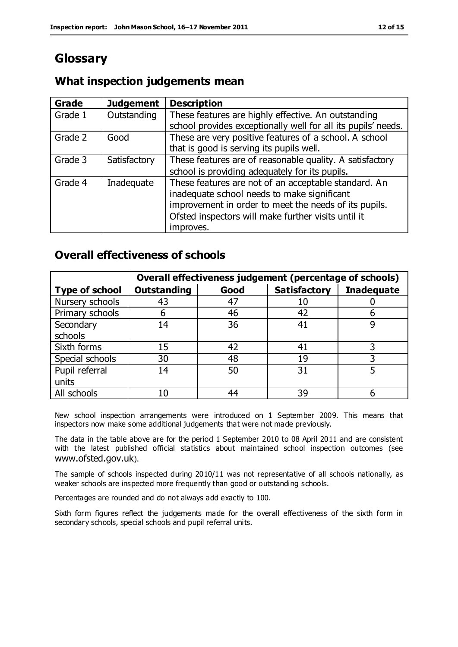## **Glossary**

#### **What inspection judgements mean**

| Grade   | <b>Judgement</b> | <b>Description</b>                                                                                                                                                                                                               |
|---------|------------------|----------------------------------------------------------------------------------------------------------------------------------------------------------------------------------------------------------------------------------|
| Grade 1 | Outstanding      | These features are highly effective. An outstanding<br>school provides exceptionally well for all its pupils' needs.                                                                                                             |
| Grade 2 | Good             | These are very positive features of a school. A school<br>that is good is serving its pupils well.                                                                                                                               |
| Grade 3 | Satisfactory     | These features are of reasonable quality. A satisfactory<br>school is providing adequately for its pupils.                                                                                                                       |
| Grade 4 | Inadequate       | These features are not of an acceptable standard. An<br>inadequate school needs to make significant<br>improvement in order to meet the needs of its pupils.<br>Ofsted inspectors will make further visits until it<br>improves. |

#### **Overall effectiveness of schools**

|                       |                    |      | Overall effectiveness judgement (percentage of schools) |                   |
|-----------------------|--------------------|------|---------------------------------------------------------|-------------------|
| <b>Type of school</b> | <b>Outstanding</b> | Good | <b>Satisfactory</b>                                     | <b>Inadequate</b> |
| Nursery schools       | 43                 | 47   |                                                         |                   |
| Primary schools       | h                  | 46   | 42                                                      |                   |
| Secondary             | 14                 | 36   | 41                                                      |                   |
| schools               |                    |      |                                                         |                   |
| Sixth forms           | 15                 | 42   | 41                                                      | 3                 |
| Special schools       | 30                 | 48   | 19                                                      |                   |
| Pupil referral        | 14                 | 50   | 31                                                      |                   |
| units                 |                    |      |                                                         |                   |
| All schools           | 10                 | 44   | 39                                                      |                   |

New school inspection arrangements were introduced on 1 September 2009. This means that inspectors now make some additional judgements that were not made previously.

The data in the table above are for the period 1 September 2010 to 08 April 2011 and are consistent with the latest published official statistics about maintained school inspection outcomes (see www.ofsted.gov.uk).

The sample of schools inspected during 2010/11 was not representative of all schools nationally, as weaker schools are inspected more frequently than good or outstanding schools.

Percentages are rounded and do not always add exactly to 100.

Sixth form figures reflect the judgements made for the overall effectiveness of the sixth form in secondary schools, special schools and pupil referral units.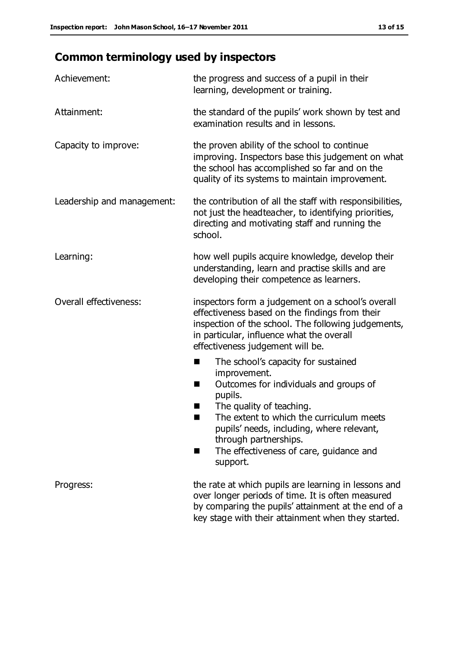# **Common terminology used by inspectors**

| Achievement:                  | the progress and success of a pupil in their<br>learning, development or training.                                                                                                                                                                                                                                              |
|-------------------------------|---------------------------------------------------------------------------------------------------------------------------------------------------------------------------------------------------------------------------------------------------------------------------------------------------------------------------------|
| Attainment:                   | the standard of the pupils' work shown by test and<br>examination results and in lessons.                                                                                                                                                                                                                                       |
| Capacity to improve:          | the proven ability of the school to continue<br>improving. Inspectors base this judgement on what<br>the school has accomplished so far and on the<br>quality of its systems to maintain improvement.                                                                                                                           |
| Leadership and management:    | the contribution of all the staff with responsibilities,<br>not just the headteacher, to identifying priorities,<br>directing and motivating staff and running the<br>school.                                                                                                                                                   |
| Learning:                     | how well pupils acquire knowledge, develop their<br>understanding, learn and practise skills and are<br>developing their competence as learners.                                                                                                                                                                                |
| <b>Overall effectiveness:</b> | inspectors form a judgement on a school's overall<br>effectiveness based on the findings from their<br>inspection of the school. The following judgements,<br>in particular, influence what the overall<br>effectiveness judgement will be.                                                                                     |
|                               | The school's capacity for sustained<br>a ka<br>improvement.<br>Outcomes for individuals and groups of<br>п<br>pupils.<br>The quality of teaching.<br>The extent to which the curriculum meets<br>pupils' needs, including, where relevant,<br>through partnerships.<br>The effectiveness of care, guidance and<br>٠<br>support. |
| Progress:                     | the rate at which pupils are learning in lessons and<br>over longer periods of time. It is often measured<br>by comparing the pupils' attainment at the end of a<br>key stage with their attainment when they started.                                                                                                          |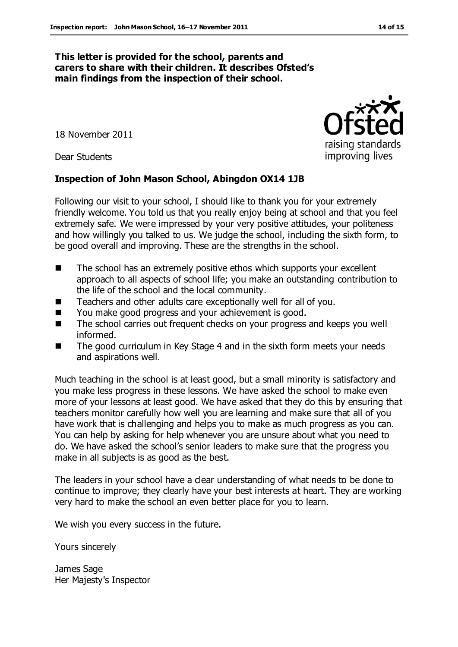#### **This letter is provided for the school, parents and carers to share with their children. It describes Ofsted's main findings from the inspection of their school.**

18 November 2011

Dear Students

#### **Inspection of John Mason School, Abingdon OX14 1JB**

Following our visit to your school, I should like to thank you for your extremely friendly welcome. You told us that you really enjoy being at school and that you feel extremely safe. We were impressed by your very positive attitudes, your politeness and how willingly you talked to us. We judge the school, including the sixth form, to be good overall and improving. These are the strengths in the school.

- The school has an extremely positive ethos which supports your excellent approach to all aspects of school life; you make an outstanding contribution to the life of the school and the local community.
- Teachers and other adults care exceptionally well for all of you.
- You make good progress and your achievement is good.
- The school carries out frequent checks on your progress and keeps you well informed.
- The good curriculum in Key Stage 4 and in the sixth form meets your needs and aspirations well.

Much teaching in the school is at least good, but a small minority is satisfactory and you make less progress in these lessons. We have asked the school to make even more of your lessons at least good. We have asked that they do this by ensuring that teachers monitor carefully how well you are learning and make sure that all of you have work that is challenging and helps you to make as much progress as you can. You can help by asking for help whenever you are unsure about what you need to do. We have asked the school's senior leaders to make sure that the progress you make in all subjects is as good as the best.

The leaders in your school have a clear understanding of what needs to be done to continue to improve; they clearly have your best interests at heart. They are working very hard to make the school an even better place for you to learn.

We wish you every success in the future.

Yours sincerely

James Sage Her Majesty's Inspector